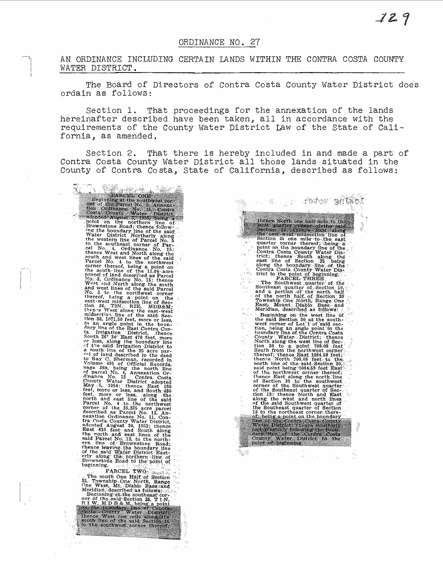## ORDINANCE NO. 27

AN ORDINANCE INCLUDING CERTAIN LANDS WITHIN THE CONTRA COSTA COUNTY WATER DISTRICT.

The Board of Directors of Contra Costa County Water District does ordain as follows:

Section 1. That proceedings for the annexation of the lands hereinafter described have been taken, all in accordance with the requirements of the County Water District Law of the State of California, as amended.

Section 2. That there is hereby included in and made a part of Contra Costa County Water District all those lands situated in the County of Contra Costa, State of California, described as follows:

 $t_{\rm in}$ 

\$3

33 and the control of the state of the state of the state of the state of the state of the state of the boundary in the neutral model in the control of the boundary line of the boundary of the boundary in the control with

PARCEL TWO:  $^{12}$ <br>25. Township One Half of Section<br>25. Township One North, Range<br>One West, Mt. Diablo Base and<br>Meridian described as follows:<br> $^{12}$ <br>26. Beginning at the southeast cor-<br> $^{12}$ <br>17. IV M D B & M, being a po  $\overline{\{x_{n+1}\}}$ 

a kila tetev elikki thence North one half mile to the Section Section Section Section Section Section Section Section Section Section Section Section 2 one mile to the east of the point of the point of the and other than along the analysis of  $\alpha$  of  $\zeta$ ra ny.<br>Desimal Townsup bure. Ayab, Base, and Meridian, described as follows:<br>
Bast, Mount Diablo. Base, and<br>
Meridian, described as follows:<br>
the said Section 30 at the south-<br>
west corner of Lot 1 of said section, being an angle point i